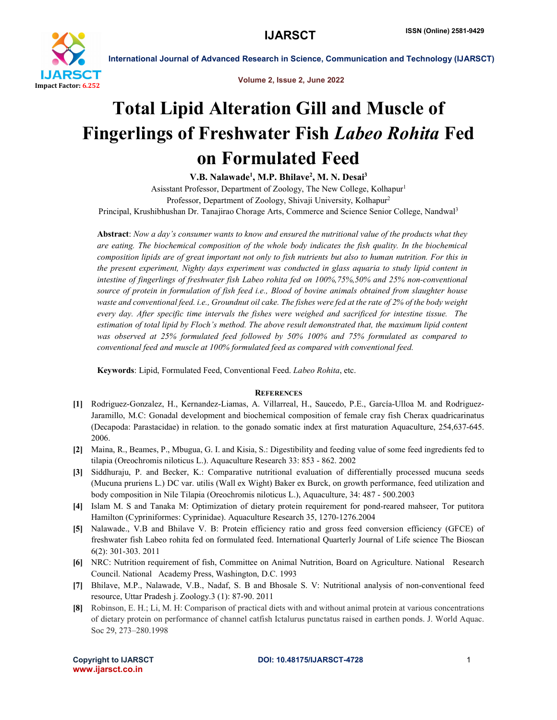

International Journal of Advanced Research in Science, Communication and Technology (IJARSCT)

Volume 2, Issue 2, June 2022

## Total Lipid Alteration Gill and Muscle of Fingerlings of Freshwater Fish *Labeo Rohita* Fed on Formulated Feed

V.B. Nalawade<sup>1</sup>, M.P. Bhilave<sup>2</sup>, M. N. Desai<sup>3</sup>

Asisstant Professor, Department of Zoology, The New College, Kolhapur1 Professor, Department of Zoology, Shivaji University, Kolhapur2 Principal, Krushibhushan Dr. Tanajirao Chorage Arts, Commerce and Science Senior College, Nandwal3

Abstract: *Now a day's consumer wants to know and ensured the nutritional value of the products what they are eating. The biochemical composition of the whole body indicates the fish quality. In the biochemical composition lipids are of great important not only to fish nutrients but also to human nutrition. For this in the present experiment, Nighty days experiment was conducted in glass aquaria to study lipid content in intestine of fingerlings of freshwater fish Labeo rohita fed on 100%,75%,50% and 25% non-conventional source of protein in formulation of fish feed i.e., Blood of bovine animals obtained from slaughter house waste and conventional feed. i.e., Groundnut oil cake. The fishes were fed at the rate of 2% of the body weight every day. After specific time intervals the fishes were weighed and sacrificed for intestine tissue. The estimation of total lipid by Floch's method. The above result demonstrated that, the maximum lipid content was observed at 25% formulated feed followed by 50% 100% and 75% formulated as compared to conventional feed and muscle at 100% formulated feed as compared with conventional feed.*

Keywords: Lipid, Formulated Feed, Conventional Feed. *Labeo Rohita*, etc.

## **REFERENCES**

- [1] Rodriguez-Gonzalez, H., Kernandez-Liamas, A. Villarreal, H., Saucedo, P.E., García-Ulloa M. and Rodriguez-Jaramillo, M.C: Gonadal development and biochemical composition of female cray fish Cherax quadricarinatus (Decapoda: Parastacidae) in relation. to the gonado somatic index at first maturation Aquaculture, 254,637-645. 2006.
- [2] Maina, R., Beames, P., Mbugua, G. I. and Kisia, S.: Digestibility and feeding value of some feed ingredients fed to tilapia (Oreochromis niloticus L.). Aquaculture Research 33: 853 - 862. 2002
- [3] Siddhuraju, P. and Becker, K.: Comparative nutritional evaluation of differentially processed mucuna seeds (Mucuna pruriens L.) DC var. utilis (Wall ex Wight) Baker ex Burck, on growth performance, feed utilization and body composition in Nile Tilapia (Oreochromis niloticus L.), Aquaculture, 34: 487 - 500.2003
- [4] Islam M. S and Tanaka M: Optimization of dietary protein requirement for pond-reared mahseer, Tor putitora Hamilton (Cypriniformes: Cyprinidae). Aquaculture Research 35, 1270-1276.2004
- [5] Nalawade., V.B and Bhilave V. B: Protein efficiency ratio and gross feed conversion efficiency (GFCE) of freshwater fish Labeo rohita fed on formulated feed. International Quarterly Journal of Life science The Bioscan 6(2): 301-303. 2011
- [6] NRC: Nutrition requirement of fish, Committee on Animal Nutrition, Board on Agriculture. National Research Council. National Academy Press, Washington, D.C. 1993
- [7] Bhilave, M.P., Nalawade, V.B., Nadaf, S. B and Bhosale S. V: Nutritional analysis of non-conventional feed resource, Uttar Pradesh j. Zoology.3 (1): 87-90. 2011
- [8] Robinson, E. H.; Li, M. H: Comparison of practical diets with and without animal protein at various concentrations of dietary protein on performance of channel catfish Ictalurus punctatus raised in earthen ponds. J. World Aquac. Soc 29, 273–280.1998